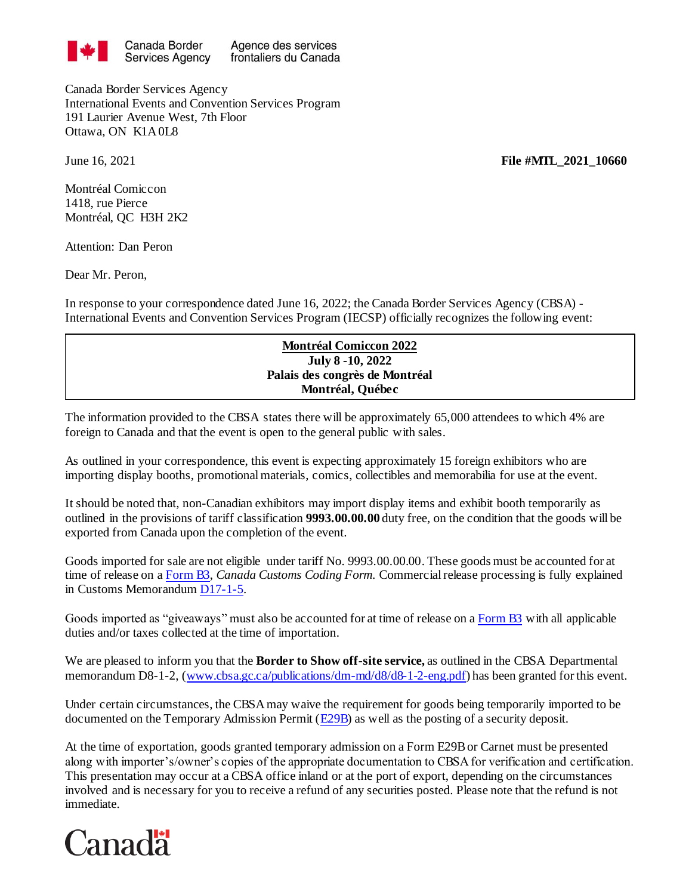

Canada Border Services Agency International Events and Convention Services Program 191 Laurier Avenue West, 7th Floor Ottawa, ON K1A 0L8

June 16, 2021 **File #MTL\_2021\_10660**

Montréal Comiccon 1418, rue Pierce Montréal, QC H3H 2K2

Attention: Dan Peron

Dear Mr. Peron,

In response to your correspondence dated June 16, 2022; the Canada Border Services Agency (CBSA) - International Events and Convention Services Program (IECSP) officially recognizes the following event:

## **Montréal Comiccon 2022 July 8 -10, 2022 Palais des congrès de Montréal Montréal, Québec**

The information provided to the CBSA states there will be approximately 65,000 attendees to which 4% are foreign to Canada and that the event is open to the general public with sales.

As outlined in your correspondence, this event is expecting approximately 15 foreign exhibitors who are importing display booths, promotional materials, comics, collectibles and memorabilia for use at the event.

It should be noted that, non-Canadian exhibitors may import display items and exhibit booth temporarily as outlined in the provisions of tariff classification **9993.00.00.00** duty free, on the condition that the goods will be exported from Canada upon the completion of the event.

Goods imported for sale are not eligible under tariff No. 9993.00.00.00. These goods must be accounted for at time of release on [a Form B3,](http://www.cbsa-asfc.gc.ca/publications/forms-formulaires/b3-3.pdf) *Canada Customs Coding Form.* Commercial release processing is fully explained in Customs Memorandu[m D17-1-5](http://www.cbsa-asfc.gc.ca/publications/dm-md/d17/d17-1-5-eng.pdf).

Goods imported as "giveaways" must also be accounted for at time of release on [a Form B3](http://www.cbsa-asfc.gc.ca/publications/forms-formulaires/b3-3.pdf) with all applicable duties and/or taxes collected at the time of importation*.*

We are pleased to inform you that the **Border to Show off-site service,** as outlined in the CBSA Departmental memorandum D8-1-2, [\(www.cbsa.gc.ca/publications/dm-md/d8/d8-1-2-eng.pdf](http://www.cbsa.gc.ca/publications/dm-md/d8/d8-1-2-eng.pdf)) has been granted for this event.

Under certain circumstances, the CBSA may waive the requirement for goods being temporarily imported to be documented on the Temporary Admission Permit [\(E29B\)](http://www.cbsa-asfc.gc.ca/publications/forms-formulaires/e29b.pdf) as well as the posting of a security deposit.

At the time of exportation, goods granted temporary admission on a Form E29B or Carnet must be presented along with importer's/owner's copies of the appropriate documentation to CBSA for verification and certification. This presentation may occur at a CBSA office inland or at the port of export, depending on the circumstances involved and is necessary for you to receive a refund of any securities posted. Please note that the refund is not immediate.